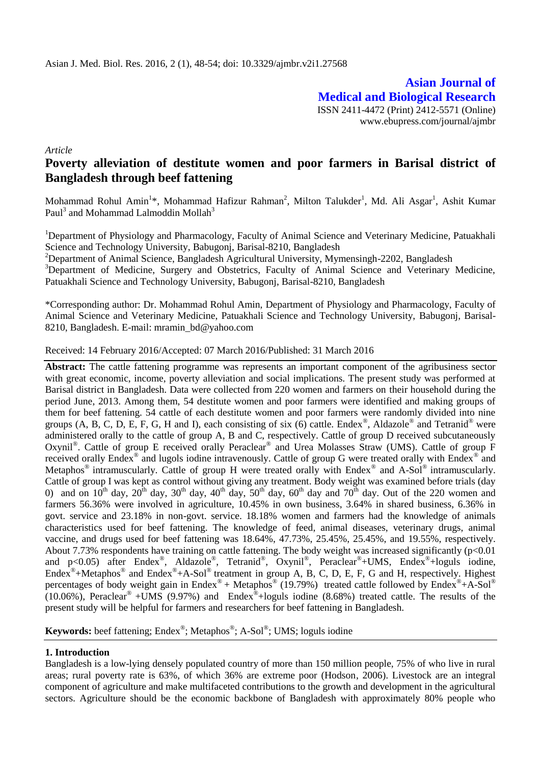**Asian Journal of Medical and Biological Research** ISSN 2411-4472 (Print) 2412-5571 (Online) www.ebupress.com/journal/ajmbr

*Article*

# **Poverty alleviation of destitute women and poor farmers in Barisal district of Bangladesh through beef fattening**

Mohammad Rohul Amin<sup>1</sup>\*, Mohammad Hafizur Rahman<sup>2</sup>, Milton Talukder<sup>1</sup>, Md. Ali Asgar<sup>1</sup>, Ashit Kumar Paul $^3$  and Mohammad Lalmoddin Mollah $^3$ 

<sup>1</sup>Department of Physiology and Pharmacology, Faculty of Animal Science and Veterinary Medicine, Patuakhali Science and Technology University, Babugonj, Barisal-8210, Bangladesh

<sup>2</sup>Department of Animal Science, Bangladesh Agricultural University, Mymensingh-2202, Bangladesh

<sup>3</sup>Department of Medicine, Surgery and Obstetrics, Faculty of Animal Science and Veterinary Medicine, Patuakhali Science and Technology University, Babugonj, Barisal-8210, Bangladesh

\*Corresponding author: Dr. Mohammad Rohul Amin, Department of Physiology and Pharmacology, Faculty of Animal Science and Veterinary Medicine, Patuakhali Science and Technology University, Babugonj, Barisal-8210, Bangladesh. E-mail: mramin\_bd@yahoo.com

Received: 14 February 2016/Accepted: 07 March 2016/Published: 31 March 2016

**Abstract:** The cattle fattening programme was represents an important component of the agribusiness sector with great economic, income, poverty alleviation and social implications. The present study was performed at Barisal district in Bangladesh. Data were collected from 220 women and farmers on their household during the period June, 2013. Among them, 54 destitute women and poor farmers were identified and making groups of them for beef fattening. 54 cattle of each destitute women and poor farmers were randomly divided into nine groups (A, B, C, D, E, F, G, H and I), each consisting of six (6) cattle. Endex<sup>®</sup>, Aldazole<sup>®</sup> and Tetranid<sup>®</sup> were administered orally to the cattle of group A, B and C, respectively. Cattle of group D received subcutaneously Oxynil®. Cattle of group E received orally Peraclear® and Urea Molasses Straw (UMS). Cattle of group F received orally Endex® and lugols iodine intravenously. Cattle of group G were treated orally with Endex® and Metaphos<sup>®</sup> intramuscularly. Cattle of group H were treated orally with Endex<sup>®</sup> and A-Sol<sup>®</sup> intramuscularly. Cattle of group I was kept as control without giving any treatment. Body weight was examined before trials (day 0) and on  $10^{th}$  day,  $20^{th}$  day,  $30^{th}$  day,  $40^{th}$  day,  $50^{th}$  day,  $60^{th}$  day and  $70^{th}$  day. Out of the 220 women and farmers 56.36% were involved in agriculture, 10.45% in own business, 3.64% in shared business, 6.36% in govt. service and 23.18% in non-govt. service. 18.18% women and farmers had the knowledge of animals characteristics used for beef fattening. The knowledge of feed, animal diseases, veterinary drugs, animal vaccine, and drugs used for beef fattening was 18.64%, 47.73%, 25.45%, 25.45%, and 19.55%, respectively. About 7.73% respondents have training on cattle fattening. The body weight was increased significantly (p<0.01 and p<0.05) after Endex<sup>®</sup>, Aldazole<sup>®</sup>, Tetranid<sup>®</sup>, Oxynil®, Peraclear<sup>®</sup>+UMS, Endex<sup>®</sup>+loguls iodine, Endex<sup>®</sup>+Metaphos<sup>®</sup> and Endex<sup>®</sup>+A-Sol<sup>®</sup> treatment in group A, B, C, D, E, F, G and H, respectively. Highest percentages of body weight gain in Endex® + Metaphos® (19.79%) treated cattle followed by Endex®+A-Sol®  $(10.06\%)$ , Peraclear<sup>®</sup> +UMS (9.97%) and Endex<sup>®</sup>+loguls iodine (8.68%) treated cattle. The results of the present study will be helpful for farmers and researchers for beef fattening in Bangladesh.

**Keywords:** beef fattening; Endex® ; Metaphos® ; A-Sol® ; UMS; loguls iodine

# **1. Introduction**

Bangladesh is a low-lying densely populated country of more than 150 million people, 75% of who live in rural areas; rural poverty rate is 63%, of which 36% are extreme poor (Hodson, 2006). Livestock are an integral component of agriculture and make multifaceted contributions to the growth and development in the agricultural sectors. Agriculture should be the economic backbone of Bangladesh with approximately 80% people who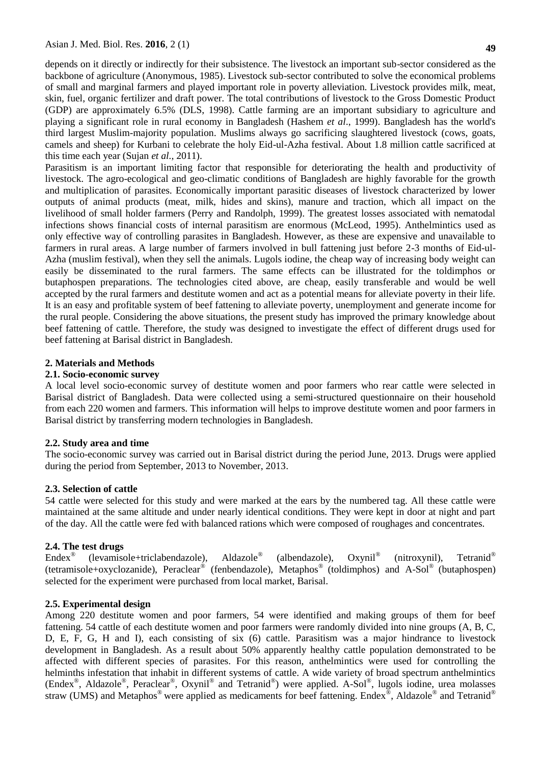depends on it directly or indirectly for their subsistence. The livestock an important sub-sector considered as the backbone of agriculture (Anonymous, 1985). Livestock sub-sector contributed to solve the economical problems of small and marginal farmers and played important role in poverty alleviation. Livestock provides milk, meat, skin, fuel, organic fertilizer and draft power. The total contributions of livestock to the Gross Domestic Product (GDP) are approximately 6.5% (DLS, 1998). Cattle farming are an important subsidiary to agriculture and playing a significant role in rural economy in Bangladesh (Hashem *et al*., 1999). Bangladesh has the world's third largest Muslim-majority population. Muslims always go sacrificing slaughtered livestock (cows, goats, camels and sheep) for Kurbani to celebrate the holy Eid-ul-Azha festival. About 1.8 million cattle sacrificed at this time each year (Sujan *et al.*, 2011).

Parasitism is an important limiting factor that responsible for deteriorating the health and productivity of livestock. The agro-ecological and geo-climatic conditions of Bangladesh are highly favorable for the growth and multiplication of parasites. Economically important parasitic diseases of livestock characterized by lower outputs of animal products (meat, milk, hides and skins), manure and traction, which all impact on the livelihood of small holder farmers (Perry and Randolph, 1999). The greatest losses associated with nematodal infections shows financial costs of internal parasitism are enormous (McLeod, 1995). Anthelmintics used as only effective way of controlling parasites in Bangladesh. However, as these are expensive and unavailable to farmers in rural areas. A large number of farmers involved in bull fattening just before 2-3 months of Eid-ul-Azha (muslim festival), when they sell the animals. Lugols iodine, the cheap way of increasing body weight can easily be disseminated to the rural farmers. The same effects can be illustrated for the toldimphos or butaphospen preparations. The technologies cited above, are cheap, easily transferable and would be well accepted by the rural farmers and destitute women and act as a potential means for alleviate poverty in their life. It is an easy and profitable system of beef fattening to alleviate poverty, unemployment and generate income for the rural people. Considering the above situations, the present study has improved the primary knowledge about beef fattening of cattle. Therefore, the study was designed to investigate the effect of different drugs used for beef fattening at Barisal district in Bangladesh.

## **2. Materials and Methods**

## **2.1. Socio-economic survey**

A local level socio-economic survey of destitute women and poor farmers who rear cattle were selected in Barisal district of Bangladesh. Data were collected using a semi-structured questionnaire on their household from each 220 women and farmers. This information will helps to improve destitute women and poor farmers in Barisal district by transferring modern technologies in Bangladesh.

## **2.2. Study area and time**

The socio-economic survey was carried out in Barisal district during the period June, 2013. Drugs were applied during the period from September, 2013 to November, 2013.

## **2.3. Selection of cattle**

54 cattle were selected for this study and were marked at the ears by the numbered tag. All these cattle were maintained at the same altitude and under nearly identical conditions. They were kept in door at night and part of the day. All the cattle were fed with balanced rations which were composed of roughages and concentrates.

# **2.4. The test drugs**

Endex® (levamisole+triclabendazole), Aldazole® (albendazole), Oxynil® (nitroxynil), Tetranid® (tetramisole+oxyclozanide), Peraclear® (fenbendazole), Metaphos® (toldimphos) and A-Sol® (butaphospen) selected for the experiment were purchased from local market, Barisal.

## **2.5. Experimental design**

Among 220 destitute women and poor farmers, 54 were identified and making groups of them for beef fattening. 54 cattle of each destitute women and poor farmers were randomly divided into nine groups (A, B, C, D, E, F, G, H and I), each consisting of six (6) cattle. Parasitism was a major hindrance to livestock development in Bangladesh. As a result about 50% apparently healthy cattle population demonstrated to be affected with different species of parasites. For this reason, anthelmintics were used for controlling the helminths infestation that inhabit in different systems of cattle. A wide variety of broad spectrum anthelmintics (Endex® , Aldazole® , Peraclear® , Oxynil® and Tetranid® ) were applied. A-Sol® , lugols iodine, urea molasses straw (UMS) and Metaphos<sup>®</sup> were applied as medicaments for beef fattening. Endex<sup>®</sup>, Aldazole<sup>®</sup> and Tetranid<sup>®</sup>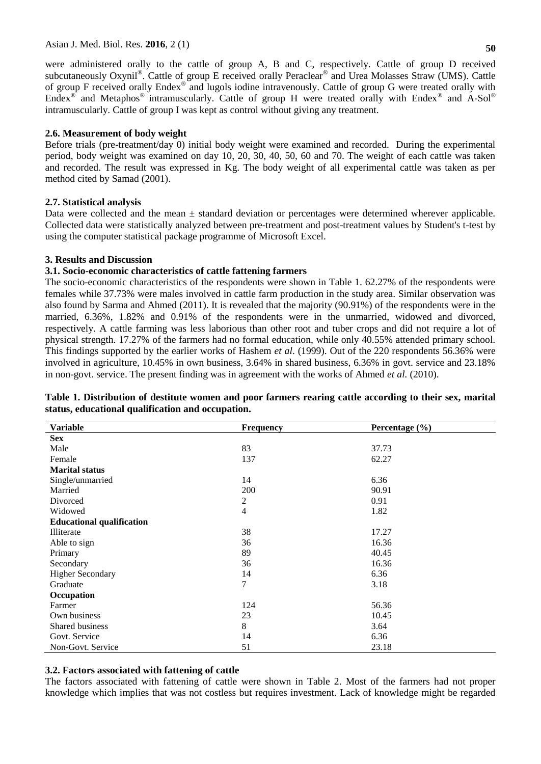were administered orally to the cattle of group A, B and C, respectively. Cattle of group D received subcutaneously Oxynil®. Cattle of group E received orally Peraclear® and Urea Molasses Straw (UMS). Cattle of group F received orally Endex® and lugols iodine intravenously. Cattle of group G were treated orally with Endex<sup>®</sup> and Metaphos<sup>®</sup> intramuscularly. Cattle of group H were treated orally with Endex<sup>®</sup> and A-Sol<sup>®</sup> intramuscularly. Cattle of group I was kept as control without giving any treatment.

# **2.6. Measurement of body weight**

Before trials (pre-treatment/day 0) initial body weight were examined and recorded. During the experimental period, body weight was examined on day 10, 20, 30, 40, 50, 60 and 70. The weight of each cattle was taken and recorded. The result was expressed in Kg. The body weight of all experimental cattle was taken as per method cited by Samad (2001).

## **2.7. Statistical analysis**

Data were collected and the mean  $\pm$  standard deviation or percentages were determined wherever applicable. Collected data were statistically analyzed between pre-treatment and post-treatment values by Student's t-test by using the computer statistical package programme of Microsoft Excel.

## **3. Results and Discussion**

## **3.1. Socio-economic characteristics of cattle fattening farmers**

The socio-economic characteristics of the respondents were shown in Table 1. 62.27% of the respondents were females while 37.73% were males involved in cattle farm production in the study area. Similar observation was also found by Sarma and Ahmed (2011). It is revealed that the majority (90.91%) of the respondents were in the married, 6.36%, 1.82% and 0.91% of the respondents were in the unmarried, widowed and divorced, respectively. A cattle farming was less laborious than other root and tuber crops and did not require a lot of physical strength. 17.27% of the farmers had no formal education, while only 40.55% attended primary school. This findings supported by the earlier works of Hashem *et al*. (1999). Out of the 220 respondents 56.36% were involved in agriculture, 10.45% in own business, 3.64% in shared business, 6.36% in govt. service and 23.18% in non-govt. service. The present finding was in agreement with the works of Ahmed *et al.* (2010).

| <b>Variable</b>                  | Frequency      | Percentage $(\% )$ |  |  |  |  |
|----------------------------------|----------------|--------------------|--|--|--|--|
| <b>Sex</b>                       |                |                    |  |  |  |  |
| Male                             | 83             | 37.73              |  |  |  |  |
| Female                           | 137            | 62.27              |  |  |  |  |
| <b>Marital status</b>            |                |                    |  |  |  |  |
| Single/unmarried                 | 14             | 6.36               |  |  |  |  |
| Married                          | 200            | 90.91              |  |  |  |  |
| Divorced                         | $\overline{2}$ | 0.91               |  |  |  |  |
| Widowed                          | $\overline{4}$ | 1.82               |  |  |  |  |
| <b>Educational qualification</b> |                |                    |  |  |  |  |
| Illiterate                       | 38             | 17.27              |  |  |  |  |
| Able to sign                     | 36             | 16.36              |  |  |  |  |
| Primary                          | 89             | 40.45              |  |  |  |  |
| Secondary                        | 36             | 16.36              |  |  |  |  |
| <b>Higher Secondary</b>          | 14             | 6.36               |  |  |  |  |
| Graduate                         | 7              | 3.18               |  |  |  |  |
| Occupation                       |                |                    |  |  |  |  |
| Farmer                           | 124            | 56.36              |  |  |  |  |
| Own business                     | 23             | 10.45              |  |  |  |  |
| <b>Shared business</b>           | $\,8\,$        | 3.64               |  |  |  |  |
| Govt. Service                    | 14             | 6.36               |  |  |  |  |
| Non-Govt. Service                | 51             | 23.18              |  |  |  |  |

## **Table 1. Distribution of destitute women and poor farmers rearing cattle according to their sex, marital status, educational qualification and occupation.**

# **3.2. Factors associated with fattening of cattle**

The factors associated with fattening of cattle were shown in Table 2. Most of the farmers had not proper knowledge which implies that was not costless but requires investment. Lack of knowledge might be regarded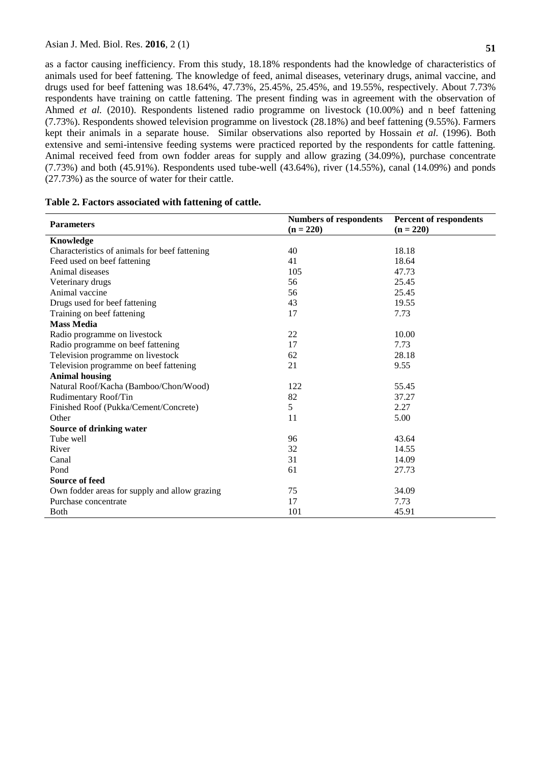as a factor causing inefficiency. From this study, 18.18% respondents had the knowledge of characteristics of animals used for beef fattening. The knowledge of feed, animal diseases, veterinary drugs, animal vaccine, and drugs used for beef fattening was 18.64%, 47.73%, 25.45%, 25.45%, and 19.55%, respectively. About 7.73% respondents have training on cattle fattening. The present finding was in agreement with the observation of Ahmed *et al.* (2010). Respondents listened radio programme on livestock (10.00%) and n beef fattening (7.73%). Respondents showed television programme on livestock (28.18%) and beef fattening (9.55%). Farmers kept their animals in a separate house. Similar observations also reported by Hossain *et al.* (1996). Both extensive and semi-intensive feeding systems were practiced reported by the respondents for cattle fattening. Animal received feed from own fodder areas for supply and allow grazing (34.09%), purchase concentrate  $(7.73\%)$  and both  $(45.91\%)$ . Respondents used tube-well  $(43.64\%)$ , river  $(14.55\%)$ , canal  $(14.09\%)$  and ponds (27.73%) as the source of water for their cattle.

| <b>Parameters</b>                             | <b>Numbers of respondents</b> | Percent of respondents<br>$(n = 220)$ |  |  |
|-----------------------------------------------|-------------------------------|---------------------------------------|--|--|
|                                               | $(n = 220)$                   |                                       |  |  |
| Knowledge                                     |                               |                                       |  |  |
| Characteristics of animals for beef fattening | 40                            | 18.18                                 |  |  |
| Feed used on beef fattening                   | 41                            | 18.64                                 |  |  |
| Animal diseases                               | 105                           | 47.73                                 |  |  |
| Veterinary drugs                              | 56                            | 25.45                                 |  |  |
| Animal vaccine                                | 56                            | 25.45                                 |  |  |
| Drugs used for beef fattening                 | 43                            | 19.55                                 |  |  |
| Training on beef fattening                    | 17                            | 7.73                                  |  |  |
| <b>Mass Media</b>                             |                               |                                       |  |  |
| Radio programme on livestock                  | 22                            | 10.00                                 |  |  |
| Radio programme on beef fattening             | 17                            | 7.73                                  |  |  |
| Television programme on livestock             | 62                            | 28.18                                 |  |  |
| Television programme on beef fattening        | 21                            | 9.55                                  |  |  |
| <b>Animal housing</b>                         |                               |                                       |  |  |
| Natural Roof/Kacha (Bamboo/Chon/Wood)         | 122                           | 55.45                                 |  |  |
| Rudimentary Roof/Tin                          | 82                            | 37.27                                 |  |  |
| Finished Roof (Pukka/Cement/Concrete)         | 5                             | 2.27                                  |  |  |
| Other                                         | 11                            | 5.00                                  |  |  |
| Source of drinking water                      |                               |                                       |  |  |
| Tube well                                     | 96                            | 43.64                                 |  |  |
| River                                         | 32                            | 14.55                                 |  |  |
| Canal                                         | 31                            | 14.09                                 |  |  |
| Pond                                          | 61                            | 27.73                                 |  |  |
| <b>Source of feed</b>                         |                               |                                       |  |  |
| Own fodder areas for supply and allow grazing | 75                            | 34.09                                 |  |  |
| Purchase concentrate                          | 17                            | 7.73                                  |  |  |
| <b>B</b> oth                                  | 101                           | 45.91                                 |  |  |

## **Table 2. Factors associated with fattening of cattle.**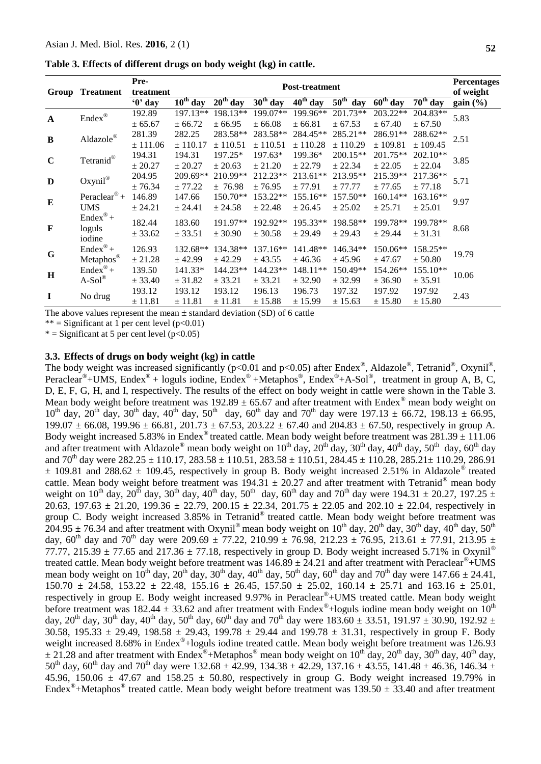| Table 3. Effects of different drugs on body weight (kg) in cattle. |  |  |  |  |
|--------------------------------------------------------------------|--|--|--|--|
|--------------------------------------------------------------------|--|--|--|--|

|              | <b>Group Treatment</b>        | Pre-<br>treatment | <b>Post-treatment</b> |            |            |            |                         | <b>Percentages</b><br>of weight |            |          |
|--------------|-------------------------------|-------------------|-----------------------|------------|------------|------------|-------------------------|---------------------------------|------------|----------|
|              |                               | '0' day           | $10^{th}$ day         | $20th$ day | $30th$ day | $40th$ day | $50^{\text{th}}$<br>day | $60th$ day                      | $70th$ day | gain (%) |
| $\mathbf{A}$ | $\mathrm{Endex}^\circledR$    | 192.89            | 197.13**              | 198.13**   | 199.07**   | 199.96**   | 201.73**                | 203.22**                        | 204.83**   | 5.83     |
|              |                               | ± 65.67           | ± 66.72               | ± 66.95    | ± 66.08    | ± 66.81    | ± 67.53                 | ± 67.40                         | ± 67.50    |          |
| B            | $\text{Aldazole}^{\circledR}$ | 281.39            | 282.25                | 283.58**   | 283.58**   | 284.45**   | 285.21**                | 286.91**                        | 288.62**   | 2.51     |
|              |                               | ± 111.06          | ± 110.17              | ± 110.51   | ± 110.51   | ± 110.28   | ± 110.29                | ± 109.81                        | ± 109.45   |          |
| $\mathbf C$  | Tetranid®                     | 194.31            | 194.31                | 197.25*    | 197.63*    | 199.36*    | 200.15**                | 201.75**                        | 202.10**   | 3.85     |
|              |                               | ± 20.27           | ± 20.27               | ± 20.63    | ± 21.20    | ± 22.79    | ± 22.34                 | ± 22.05                         | ± 22.04    |          |
| D            | Oxynil®                       | 204.95            | 209.69**              | 210.99**   | 212.23**   | 213.61**   | 213.95**                | 215.39**                        | 217.36**   | 5.71     |
|              |                               | ± 76.34           | ± 77.22               | ± 76.98    | ± 76.95    | ± 77.91    | ± 77.77                 | ± 77.65                         | ± 77.18    |          |
| $\bf{E}$     | Peraclear <sup>®</sup> +      | 146.89            | 147.66                | $150.70**$ | 153.22**   | 155.16**   | $157.50**$              | 160.14**                        | 163.16**   | 9.97     |
|              | <b>UMS</b>                    | ± 24.21           | ± 24.41               | ± 24.58    | ± 22.48    | ± 26.45    | ± 25.02                 | ± 25.71                         | ± 25.01    |          |
| F            | $Endex^{\circledR}$ +         | 182.44            | 183.60                | 191.97**   | 192.92**   | 195.33**   | 198.58**                | 199.78**                        | 199.78**   |          |
|              | loguls                        | ± 33.62           | ± 33.51               | ± 30.90    | ± 30.58    | ± 29.49    | ± 29.43                 | ± 29.44                         | ± 31.31    | 8.68     |
|              | iodine                        |                   |                       |            |            |            |                         |                                 |            |          |
| G            | $Endex^{\circledR} +$         | 126.93            | 132.68**              | 134.38**   | $137.16**$ | 141.48**   | 146.34**                | 150.06**                        | 158.25**   | 19.79    |
|              | Metaphos®                     | ± 21.28           | ± 42.99               | ± 42.29    | ± 43.55    | ± 46.36    | ± 45.96                 | ± 47.67                         | ± 50.80    |          |
| H            | $Endex^{\circ}$ +             | 139.50            | 141.33*               | 144.23**   | 144.23**   | 148.11**   | 150.49**                | 154.26**                        | 155.10**   | 10.06    |
|              | $A-Sol^{\circledR}$           | ± 33.40           | ± 31.82               | ± 33.21    | ± 33.21    | ± 32.90    | ± 32.99                 | ± 36.90                         | ± 35.91    |          |
| $\mathbf I$  | No drug                       | 193.12            | 193.12                | 193.12     | 196.13     | 196.73     | 197.32                  | 197.92                          | 197.92     | 2.43     |
|              |                               | $\pm$ 11.81       | ± 11.81               | ± 11.81    | ± 15.88    | ± 15.99    | ± 15.63                 | ± 15.80                         | ± 15.80    |          |

The above values represent the mean  $\pm$  standard deviation (SD) of 6 cattle

\*\* = Significant at 1 per cent level  $(p<0.01)$ 

 $*$  = Significant at 5 per cent level (p<0.05)

#### **3.3. Effects of drugs on body weight (kg) in cattle**

The body weight was increased significantly ( $p<0.01$  and  $p<0.05$ ) after Endex<sup>®</sup>, Aldazole®, Tetranid®, Oxynil®, Peraclear<sup>®</sup>+UMS, Endex<sup>®</sup> + loguls iodine, Endex<sup>®</sup> +Metaphos<sup>®</sup>, Endex<sup>®</sup>+A-Sol<sup>®</sup>, treatment in group A, B, C, D, E, F, G, H, and I, respectively. The results of the effect on body weight in cattle were shown in the Table 3. Mean body weight before treatment was  $192.89 \pm 65.67$  and after treatment with Endex<sup>®</sup> mean body weight on  $10^{th}$  day,  $20^{th}$  day,  $30^{th}$  day,  $40^{th}$  day,  $50^{th}$  day,  $60^{th}$  day and  $70^{th}$  day were  $197.13 \pm 66.72$ ,  $198.13 \pm 66.95$ ,  $199.07 \pm 66.08$ ,  $199.96 \pm 66.81$ ,  $201.73 \pm 67.53$ ,  $203.22 \pm 67.40$  and  $204.83 \pm 67.50$ , respectively in group A. Body weight increased 5.83% in Endex<sup>®</sup> treated cattle. Mean body weight before treatment was  $281.39 \pm 111.06$ and after treatment with Aldazole<sup>®</sup> mean body weight on  $10^{th}$  day,  $20^{th}$  day,  $30^{th}$  day,  $40^{th}$  day,  $50^{th}$  day,  $60^{th}$  day and  $70^{\text{th}}$  day were  $282.25 \pm 110.17$ ,  $283.58 \pm 110.51$ ,  $283.58 \pm 110.51$ ,  $284.45 \pm 110.28$ ,  $285.21 \pm 110.29$ ,  $286.91$  $±$  109.81 and 288.62  $±$  109.45, respectively in group B. Body weight increased 2.51% in Aldazole® treated cattle. Mean body weight before treatment was  $194.31 \pm 20.27$  and after treatment with Tetranid<sup>®</sup> mean body weight on 10<sup>th</sup> day, 20<sup>th</sup> day, 30<sup>th</sup> day, 40<sup>th</sup> day, 50<sup>th</sup> day, 60<sup>th</sup> day and 70<sup>th</sup> day were 194.31  $\pm$  20.27, 197.25  $\pm$ 20.63, 197.63  $\pm$  21.20, 199.36  $\pm$  22.79, 200.15  $\pm$  22.34, 201.75  $\pm$  22.05 and 202.10  $\pm$  22.04, respectively in group C. Body weight increased 3.85% in Tetranid® treated cattle. Mean body weight before treatment was  $204.95 \pm 76.34$  and after treatment with Oxynil® mean body weight on 10<sup>th</sup> day, 20<sup>th</sup> day, 30<sup>th</sup> day, 40<sup>th</sup> day, 50<sup>th</sup> day, 60<sup>th</sup> day and 70<sup>th</sup> day were 209.69  $\pm$  77.22, 210.99  $\pm$  76.98, 212.23  $\pm$  76.95, 213.61  $\pm$  77.91, 213.95  $\pm$ 77.77, 215.39  $\pm$  77.65 and 217.36  $\pm$  77.18, respectively in group D. Body weight increased 5.71% in Oxynil<sup>®</sup> treated cattle. Mean body weight before treatment was  $146.89 \pm 24.21$  and after treatment with Peraclear<sup>®</sup>+UMS mean body weight on  $10^{th}$  day,  $20^{th}$  day,  $30^{th}$  day,  $40^{th}$  day,  $50^{th}$  day,  $60^{th}$  day and  $70^{th}$  day were  $147.66 \pm 24.41$ , 150.70  $\pm$  24.58, 153.22  $\pm$  22.48, 155.16  $\pm$  26.45, 157.50  $\pm$  25.02, 160.14  $\pm$  25.71 and 163.16  $\pm$  25.01, respectively in group E. Body weight increased 9.97% in Peraclear®+UMS treated cattle. Mean body weight before treatment was 182.44  $\pm$  33.62 and after treatment with Endex<sup>®</sup>+loguls iodine mean body weight on 10<sup>th</sup> day,  $20^{th}$  day,  $30^{th}$  day,  $40^{th}$  day,  $50^{th}$  day,  $60^{th}$  day and  $70^{th}$  day were  $183.60 \pm 33.51$ ,  $191.97 \pm 30.90$ ,  $192.92 \pm 30.90$ 30.58, 195.33  $\pm$  29.49, 198.58  $\pm$  29.43, 199.78  $\pm$  29.44 and 199.78  $\pm$  31.31, respectively in group F. Body weight increased 8.68% in Endex®+loguls iodine treated cattle. Mean body weight before treatment was 126.93  $\pm$  21.28 and after treatment with Endex<sup>®</sup>+Metaphos<sup>®</sup> mean body weight on 10<sup>th</sup> day, 20<sup>th</sup> day, 30<sup>th</sup> day, 40<sup>th</sup> day,  $50^{th}$  day,  $60^{th}$  day and  $70^{th}$  day were  $132.68 \pm 42.99$ ,  $134.38 \pm 42.29$ ,  $137.16 \pm 43.55$ ,  $141.48 \pm 46.36$ ,  $146.34 \pm 46.36$ 45.96, 150.06  $\pm$  47.67 and 158.25  $\pm$  50.80, respectively in group G. Body weight increased 19.79% in Endex<sup>®</sup>+Metaphos<sup>®</sup> treated cattle. Mean body weight before treatment was  $139.50 \pm 33.40$  and after treatment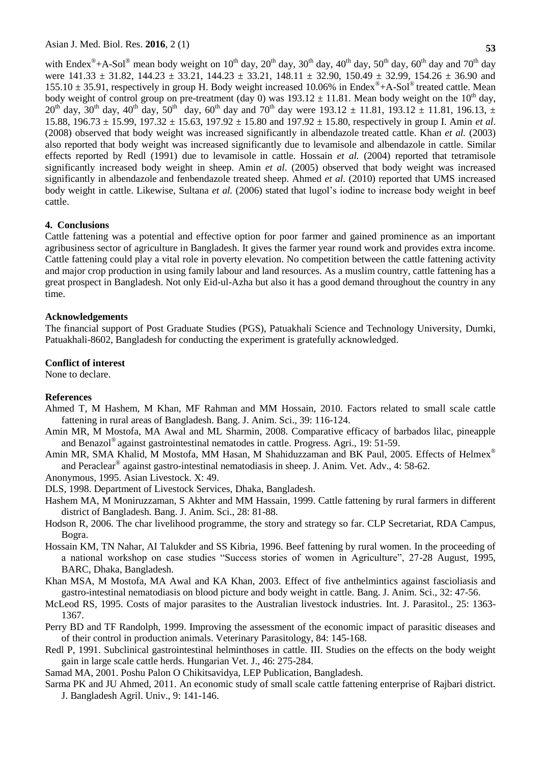with Endex<sup>®</sup>+A-Sol<sup>®</sup> mean body weight on 10<sup>th</sup> day, 20<sup>th</sup> day, 30<sup>th</sup> day, 40<sup>th</sup> day, 50<sup>th</sup> day, 60<sup>th</sup> day and 70<sup>th</sup> day were  $141.33 \pm 31.82$ ,  $144.23 \pm 33.21$ ,  $144.23 \pm 33.21$ ,  $148.11 \pm 32.90$ ,  $150.49 \pm 32.99$ ,  $154.26 \pm 36.90$  and  $155.10 \pm 35.91$ , respectively in group H. Body weight increased 10.06% in Endex<sup>®</sup>+A-Sol<sup>®</sup> treated cattle. Mean body weight of control group on pre-treatment (day 0) was  $193.12 \pm 11.81$ . Mean body weight on the  $10^{th}$  day,  $20^{th}$  day,  $30^{th}$  day,  $40^{th}$  day,  $50^{th}$  day,  $60^{th}$  day and  $70^{th}$  day were  $193.12 \pm 11.81$ ,  $193.12 \pm 11.81$ ,  $196.13$ ,  $\pm$ 15.88, 196.73 ± 15.99, 197.32 ± 15.63, 197.92 ± 15.80 and 197.92 ± 15.80, respectively in group I. Amin *et al*. (2008) observed that body weight was increased significantly in albendazole treated cattle. Khan *et al.* (2003) also reported that body weight was increased significantly due to levamisole and albendazole in cattle. Similar effects reported by Redl (1991) due to levamisole in cattle. Hossain *et al.* (2004) reported that tetramisole significantly increased body weight in sheep. Amin *et al*. (2005) observed that body weight was increased significantly in albendazole and fenbendazole treated sheep. Ahmed *et al.* (2010) reported that UMS increased body weight in cattle. Likewise, Sultana *et al.* (2006) stated that lugol's iodine to increase body weight in beef cattle.

## **4. Conclusions**

Cattle fattening was a potential and effective option for poor farmer and gained prominence as an important agribusiness sector of agriculture in Bangladesh. It gives the farmer year round work and provides extra income. Cattle fattening could play a vital role in poverty elevation. No competition between the cattle fattening activity and major crop production in using family labour and land resources. As a muslim country, cattle fattening has a great prospect in Bangladesh. Not only Eid-ul-Azha but also it has a good demand throughout the country in any time.

## **Acknowledgements**

The financial support of Post Graduate Studies (PGS), Patuakhali Science and Technology University, Dumki, Patuakhali-8602, Bangladesh for conducting the experiment is gratefully acknowledged.

#### **Conflict of interest**

None to declare.

## **References**

- Ahmed T, M Hashem, M Khan, MF Rahman and MM Hossain, 2010. Factors related to small scale cattle fattening in rural areas of Bangladesh. Bang. J. Anim. Sci., 39: 116-124.
- Amin MR, M Mostofa, MA Awal and ML Sharmin, 2008. Comparative efficacy of barbados lilac, pineapple and Benazol® against gastrointestinal nematodes in cattle. Progress. Agri., 19: 51-59.
- Amin MR, SMA Khalid, M Mostofa, MM Hasan, M Shahiduzzaman and BK Paul, 2005. Effects of Helmex® and Peraclear<sup>®</sup> against gastro-intestinal nematodiasis in sheep. J. Anim. Vet. Adv., 4: 58-62.

Anonymous, 1995. Asian Livestock. X: 49.

DLS, 1998. Department of Livestock Services, Dhaka, Bangladesh.

- Hashem MA, M Moniruzzaman, S Akhter and MM Hassain, 1999. Cattle fattening by rural farmers in different district of Bangladesh. Bang. J. Anim. Sci., 28: 81-88.
- Hodson R, 2006. The char livelihood programme, the story and strategy so far. CLP Secretariat, RDA Campus, Bogra.
- Hossain KM, TN Nahar, AI Talukder and SS Kibria, 1996. Beef fattening by rural women. In the proceeding of a national workshop on case studies "Success stories of women in Agriculture", 27-28 August, 1995, BARC, Dhaka, Bangladesh.

Khan MSA, M Mostofa, MA Awal and KA Khan, 2003. Effect of five anthelmintics against fascioliasis and gastro-intestinal nematodiasis on blood picture and body weight in cattle. Bang. J. Anim. Sci., 32: 47-56.

- McLeod RS, 1995. Costs of major parasites to the Australian livestock industries. Int. J. Parasitol., 25: 1363- 1367.
- Perry BD and TF Randolph, 1999. Improving the assessment of the economic impact of parasitic diseases and of their control in production animals. Veterinary Parasitology, 84: 145-168.
- Redl P, 1991. Subclinical gastrointestinal helminthoses in cattle. III. Studies on the effects on the body weight gain in large scale cattle herds. Hungarian Vet. J., 46: 275-284.
- Samad MA, 2001. Poshu Palon O Chikitsavidya, LEP Publication, Bangladesh.
- Sarma PK and JU Ahmed, 2011. An economic study of small scale cattle fattening enterprise of Rajbari district. J. Bangladesh Agril. Univ., 9: 141-146.